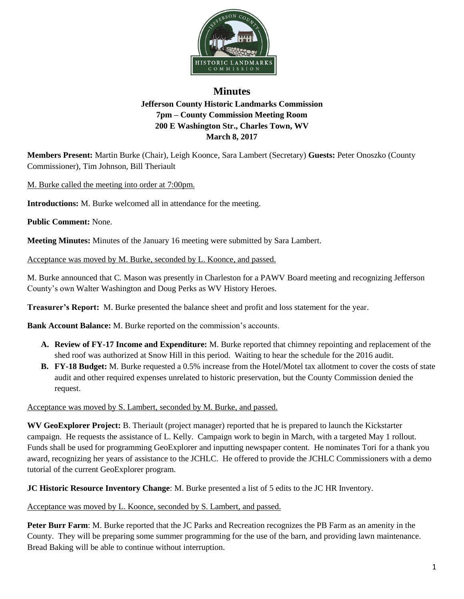

## **Minutes Jefferson County Historic Landmarks Commission 7pm – County Commission Meeting Room 200 E Washington Str., Charles Town, WV March 8, 2017**

**Members Present:** Martin Burke (Chair), Leigh Koonce, Sara Lambert (Secretary) **Guests:** Peter Onoszko (County Commissioner), Tim Johnson, Bill Theriault

M. Burke called the meeting into order at 7:00pm.

**Introductions:** M. Burke welcomed all in attendance for the meeting.

**Public Comment:** None.

**Meeting Minutes:** Minutes of the January 16 meeting were submitted by Sara Lambert.

Acceptance was moved by M. Burke, seconded by L. Koonce, and passed.

M. Burke announced that C. Mason was presently in Charleston for a PAWV Board meeting and recognizing Jefferson County's own Walter Washington and Doug Perks as WV History Heroes.

**Treasurer's Report:** M. Burke presented the balance sheet and profit and loss statement for the year.

**Bank Account Balance:** M. Burke reported on the commission's accounts.

- **A. Review of FY-17 Income and Expenditure:** M. Burke reported that chimney repointing and replacement of the shed roof was authorized at Snow Hill in this period. Waiting to hear the schedule for the 2016 audit.
- **B. FY-18 Budget:** M. Burke requested a 0.5% increase from the Hotel/Motel tax allotment to cover the costs of state audit and other required expenses unrelated to historic preservation, but the County Commission denied the request.

Acceptance was moved by S. Lambert, seconded by M. Burke, and passed.

**WV GeoExplorer Project:** B. Theriault (project manager) reported that he is prepared to launch the Kickstarter campaign. He requests the assistance of L. Kelly. Campaign work to begin in March, with a targeted May 1 rollout. Funds shall be used for programming GeoExplorer and inputting newspaper content. He nominates Tori for a thank you award, recognizing her years of assistance to the JCHLC. He offered to provide the JCHLC Commissioners with a demo tutorial of the current GeoExplorer program.

**JC Historic Resource Inventory Change**: M. Burke presented a list of 5 edits to the JC HR Inventory.

Acceptance was moved by L. Koonce, seconded by S. Lambert, and passed.

**Peter Burr Farm**: M. Burke reported that the JC Parks and Recreation recognizes the PB Farm as an amenity in the County. They will be preparing some summer programming for the use of the barn, and providing lawn maintenance. Bread Baking will be able to continue without interruption.